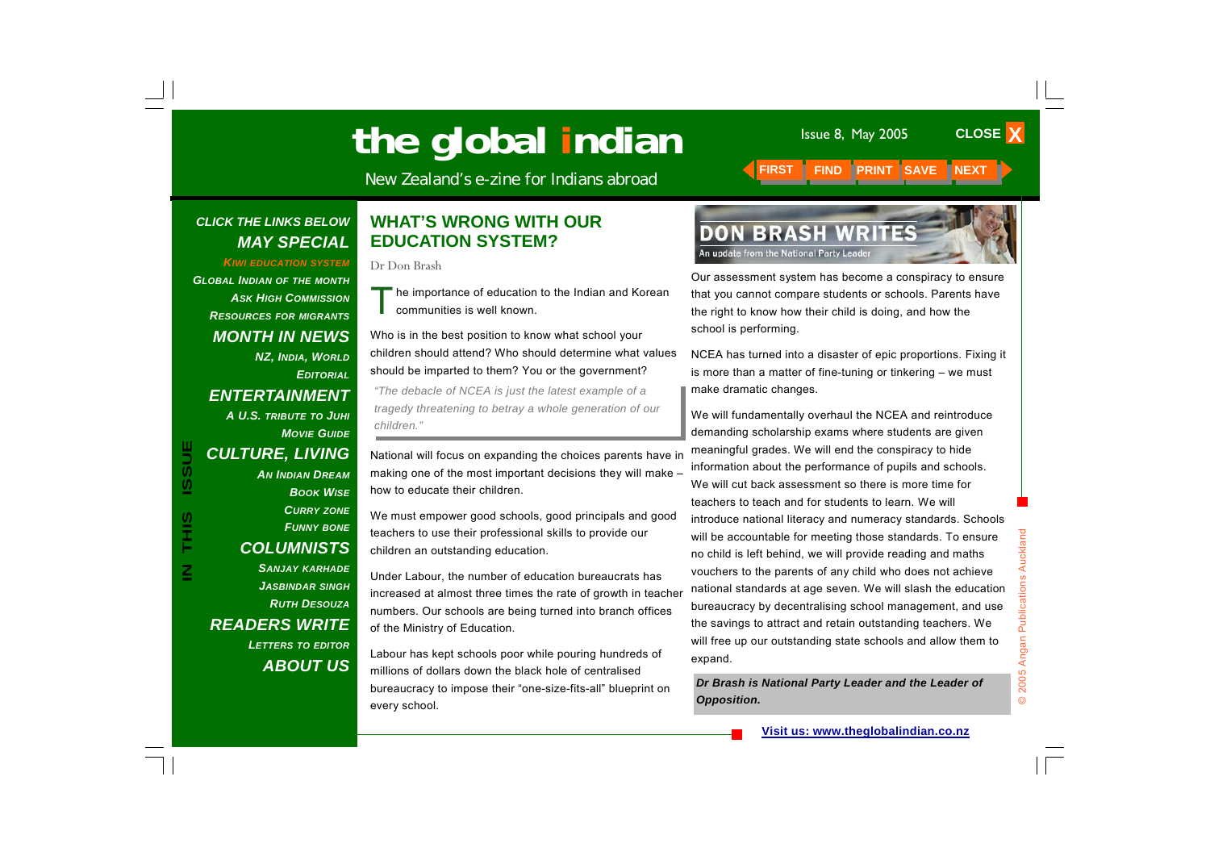New Zealand's e-zine for Indians abroad **FIRST FIND PRINT SAVE NEXT INCOMENDATI** 

#### *CLICK THE LINKS BELOW MAY SPECIAL*

*KIWI EDUCATION SYSTEM*

*GLOBAL INDIAN OF THE MONTH ASK HIGH COMMISSIONRESOURCES FOR MIGRANTS MONTH IN NEWS NZ, INDIA, WORLD EDITORIALENTERTAINMENT A U.S. TRIBUTE TO JUHI MOVIE GUIDECULTURE, LIVING AN INDIAN DREAMBOOK WISECURRY ZONE FUNNY BONE COLUMNISTS SANJAY KARHADE JASBINDAR SINGH RUTH DESOUZAREADERS WRITE* 

**IN THIS ISSUE**

Ĩ

 $\overline{\mathbf{z}}$ 

ISSUE

*LETTERS TO EDITOR ABOUT US*

#### **WHAT'S WRONG WITH OUR EDUCATION SYSTEM?**

Dr Don Brash

he importance of education to the Indian and Korean communities is well known.

Who is in the best position to know what school your children should attend? Who should determine what values should be imparted to them? You or the government?

*"The debacle of NCEA is just the latest example of a tragedy threatening to betray a whole generation of our children."*

National will focus on expanding the choices parents have in making one of the most important decisions they will make – how to educate their children.

We must empower good schools, good principals and good teachers to use their professional skills to provide our children an outstanding education.

Under Labour, the number of education bureaucrats has increased at almost three times the rate of growth in teacher numbers. Our schools are being turned into branch offices of the Ministry of Education.

Labour has kept schools poor while pouring hundreds of millions of dollars down the black hole of centralised bureaucracy to impose their "one-size-fits-all" blueprint on every school.



Our assessment system has become a conspiracy to ensure that you cannot compare students or schools. Parents have the right to know how their child is doing, and how the school is performing.

NCEA has turned into a disaster of epic proportions. Fixing it is more than a matter of fine-tuning or tinkering – we must make dramatic changes.

We will fundamentally overhaul the NCEA and reintroduce demanding scholarship exams where students are given meaningful grades. We will end the conspiracy to hide information about the performance of pupils and schools. We will cut back assessment so there is more time for teachers to teach and for students to learn. We will introduce national literacy and numeracy standards. Schools will be accountable for meeting those standards. To ensure no child is left behind, we will provide reading and maths vouchers to the parents of any child who does not achieve national standards at age seven. We will slash the education bureaucracy by decentralising school management, and use the savings to attract and retain outstanding teachers. We will free up our outstanding state schools and allow them to expand.

*Dr Brash is National Party Leader and the Leader of Opposition.*

**CLOSE X**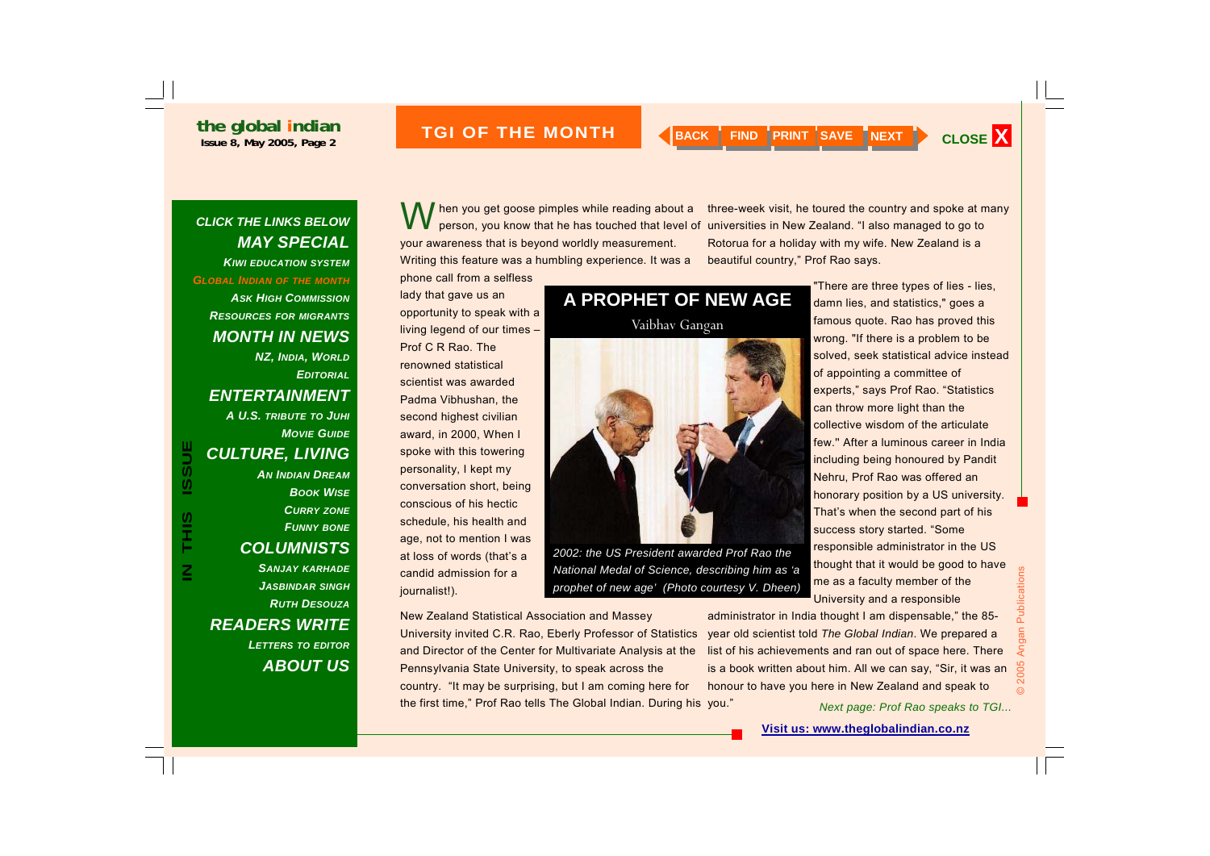*CLICK THE LINKS BELOW* 

**ISSUE BRIDGER 2005 THE MONTH AND ABACK FIND PRINT SAVE NEXT > CLOSE X** 

#### *MAY SPECIAL KIWI EDUCATION SYSTEMGLOBAL INDIAN OF THE MONTH ASK HIGH COMMISSIONRESOURCES FOR MIGRANTS MONTH IN NEWS NZ, INDIA, WORLD EDITORIALENTERTAINMENT A U.S. TRIBUTE TO JUHI MOVIE GUIDECULTURE, LIVING AN INDIAN DREAMBOOK WISECURRY ZONE FUNNY BONE COLUMNISTS SANJAY KARHADE JASBINDAR SINGH RUTH DESOUZAREADERS WRITE LETTERS TO EDITOR ABOUT US*

**IN THIS ISSUE**

SIL<br>T

 $\overline{\mathsf{z}}$ 

ISSUE

When you get goose pimples while reading about a three-week visit, he toured the country and spoke at m<br>person, you know that he has touched that level of universities in New Zealand. "I also managed to go to your awareness that is beyond worldly measurement. Writing this feature was a humbling experience. It was a phone call from a selfless

lady that gave us an opportunity to speak with a living legend of our times – Prof C R Rao. The renowned statistical scientist was awarded Padma Vibhushan, the second highest civilian award, in 2000, When I spoke with this towering personality, I kept my conversation short, being conscious of his hectic schedule, his health and age, not to mention I was at loss of words (that's a candid admission for a journalist!).

Vaibhav Gangan

**A PROPHET OF NEW AGE** 



*2002: the US President awarded Prof Rao the National Medal of Science, describing him as 'a prophet of new age' (Photo courtesy V. Dheen)* 

New Zealand Statistical Association and Massey University invited C.R. Rao, Eberly Professor of Statistics

and Director of the Center for Multivariate Analysis at the Pennsylvania State University, to speak across the country. "It may be surprising, but I am coming here for the first time," Prof Rao tells The Global Indian. During his you."

three-week visit, he toured the country and spoke at many Rotorua for a holiday with my wife. New Zealand is a beautiful country," Prof Rao says.

> "There are three types of lies - lies, damn lies, and statistics," goes a famous quote. Rao has proved this wrong. "If there is a problem to be solved, seek statistical advice instead of appointing a committee of experts," says Prof Rao. "Statistics can throw more light than the collective wisdom of the articulate few.'' After a luminous career in India including being honoured by Pandit Nehru, Prof Rao was offered an honorary position by a US university. That's when the second part of his success story started. "Some responsible administrator in the US thought that it would be good to have me as a faculty member of the University and a responsible

administrator in India thought I am dispensable," the 85 year old scientist told *The Global Indian*. We prepared a list of his achievements and ran out of space here. There is a book written about him. All we can say, "Sir, it was an honour to have you here in New Zealand and speak to

*Next page: Prof Rao speaks to TGI...*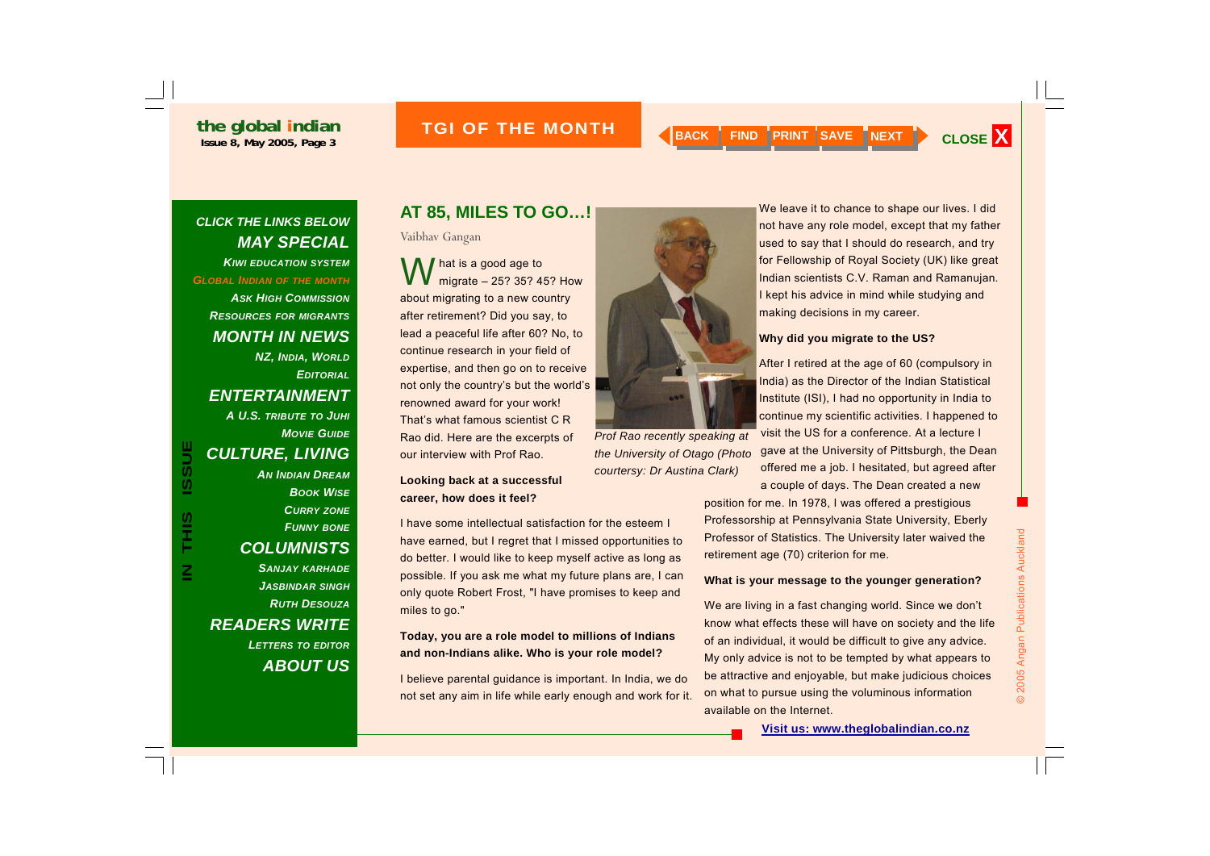*CLICK THE LINKS BELOW* 

# **ISSUE BRIDGER ASSESSMENT CLOSE ASSESSMENT AND REAL PRINT SAVE NEXT ASSESSMENT ASSESSMENT AND REAL PRINT OF THE MONTH AND REAL PRINT CLOSE X**

*MAY SPECIAL KIWI EDUCATION SYSTEMGLOBAL INDIAN OF THE MONTH ASK HIGH COMMISSIONRESOURCES FOR MIGRANTS MONTH IN NEWS NZ, INDIA, WORLD EDITORIALENTERTAINMENT A U.S. TRIBUTE TO JUHI MOVIE GUIDECULTURE, LIVING AN INDIAN DREAMBOOK WISECURRY ZONE FUNNY BONE COLUMNISTS SANJAY KARHADE JASBINDAR SINGH RUTH DESOUZAREADERS WRITE LETTERS TO EDITOR ABOUT US***IN THIS ISSUE COLL TURE, LIVING**<br> **IN THE SAM DREAM**<br> **IN THE SAM DREAM**<br> **IN THE SAM PREAM**<br> **IN THE SAM PREAM**<br> **IN THE SAM PREAM**<br> **IN THE SAM PREAM**<br> **IN THE SAM PREAM**<br> **IN THE SAM PREAM**<br> **IN THE SAM PREAM**<br> **IN THE** 

### **AT 85, MILES TO GO…!**

Vaibhav Gangan

hat is a good age to<br>migrate – 25? 35? 45? How about migrating to a new country after retirement? Did you say, to lead a peaceful life after 60? No, to continue research in your field of expertise, and then go on to receive not only the country's but the world's renowned award for your work! That's what famous scientist C R Rao did. Here are the excerpts of our interview with Prof Rao.

#### **Looking back at a successful career, how does it feel?**

I have some intellectual satisfaction for the esteem I have earned, but I regret that I missed opportunities to do better. I would like to keep myself active as long as possible. If you ask me what my future plans are, I can only quote Robert Frost, "I have promises to keep and miles to go."

#### **Today, you are a role model to millions of Indians and non-Indians alike. Who is your role model?**

I believe parental guidance is important. In India, we do not set any aim in life while early enough and work for it.



We leave it to chance to shape our lives. I did not have any role model, except that my father used to say that I should do research, and try for Fellowship of Royal Society (UK) like great Indian scientists C.V. Raman and Ramanujan. I kept his advice in mind while studying and making decisions in my career.

#### **Why did you migrate to the US?**

After I retired at the age of 60 (compulsory in India) as the Director of the Indian Statistical Institute (ISI), I had no opportunity in India to continue my scientific activities. I happened to visit the US for a conference. At a lecture I gave at the University of Pittsburgh, the Dean offered me a job. I hesitated, but agreed after a couple of days. The Dean created a new

position for me. In 1978, I was offered a prestigious Professorship at Pennsylvania State University, Eberly Professor of Statistics. The University later waived the retirement age (70) criterion for me.

#### **What is your message to the younger generation?**

We are living in a fast changing world. Since we don't know what effects these will have on society and the life of an individual, it would be difficult to give any advice. My only advice is not to be tempted by what appears to be attractive and enjoyable, but make judicious choices on what to pursue using the voluminous information available on the Internet.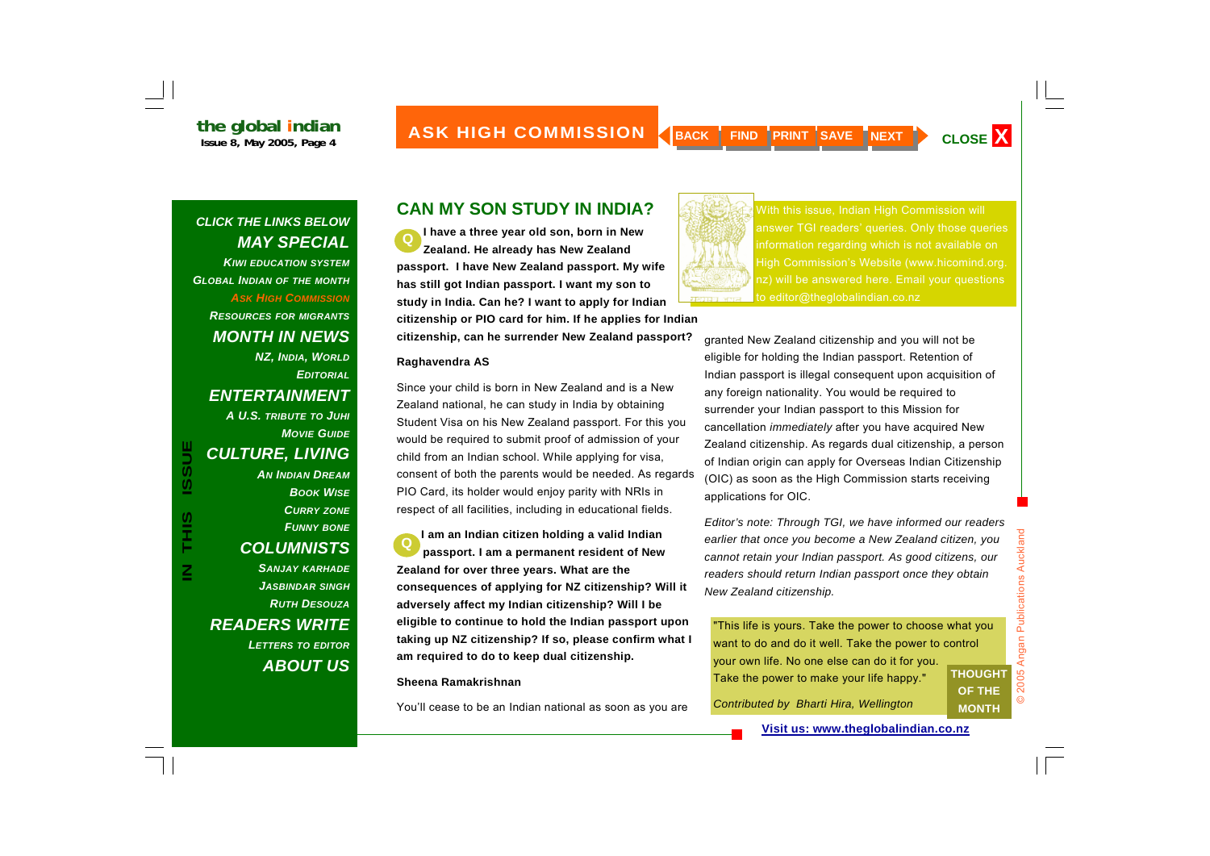*CLICK THE LINKS BELOW MAY SPECIAL KIWI EDUCATION SYSTEMGLOBAL INDIAN OF THE MONTH ASK HIGH COMMISSIONRESOURCES FOR MIGRANTS MONTH IN NEWS NZ, INDIA, WORLD EDITORIALENTERTAINMENT A U.S. TRIBUTE TO JUHI MOVIE GUIDECULTURE, LIVING AN INDIAN DREAMBOOK WISECURRY ZONE FUNNY BONE COLUMNISTS SANJAY KARHADE JASBINDAR SINGH RUTH DESOUZAREADERS WRITE LETTERS TO EDITOR ABOUT US*

**IN THIS ISSUE**

S<br>H<br>H<br>H

 $\overline{\mathbf{z}}$ 

**ISSUE** 

### **CAN MY SON STUDY IN INDIA?**

**I have a three year old son, born in New Zealand. He already has New Zealand passport. I have New Zealand passport. My wife has still got Indian passport. I want my son to study in India. Can he? I want to apply for Indian citizenship or PIO card for him. If he applies for Indian citizenship, can he surrender New Zealand passport? Q** 

#### **Raghavendra AS**

Since your child is born in New Zealand and is a New Zealand national, he can study in India by obtaining Student Visa on his New Zealand passport. For this you would be required to submit proof of admission of your child from an Indian school. While applying for visa, consent of both the parents would be needed. As regards PIO Card, its holder would enjoy parity with NRIs in respect of all facilities, including in educational fields.

**I am an Indian citizen holding a valid Indian passport. I am a permanent resident of New Zealand for over three years. What are the consequences of applying for NZ citizenship? Will it adversely affect my Indian citizenship? Will I be eligible to continue to hold the Indian passport upon taking up NZ citizenship? If so, please confirm what I am required to do to keep dual citizenship. Q** 

#### **Sheena Ramakrishnan**

You'll cease to be an Indian national as soon as you are



With this issue, Indian High Commission will answer TGI readers' queries. Only those queries information regarding which is not available on High Commission's Website (www.hicomind.org. to editor@theglobalindian.co.nz

granted New Zealand citizenship and you will not be eligible for holding the Indian passport. Retention of Indian passport is illegal consequent upon acquisition of any foreign nationality. You would be required to surrender your Indian passport to this Mission for cancellation *immediately* after you have acquired New Zealand citizenship. As regards dual citizenship, a person of Indian origin can apply for Overseas Indian Citizenship (OIC) as soon as the High Commission starts receiving applications for OIC.

*Editor's note: Through TGI, we have informed our readers earlier that once you become a New Zealand citizen, you cannot retain your Indian passport. As good citizens, our readers should return Indian passport once they obtain New Zealand citizenship.* 

"This life is yours. Take the power to choose what you want to do and do it well. Take the power to control your own life. No one else can do it for you. Take the power to make your life happy." **THOUGHT** 

**Visit us: www.theglobalindian.co.nz**

*Contributed by Bharti Hira, Wellington* 

**OF THE MONTH**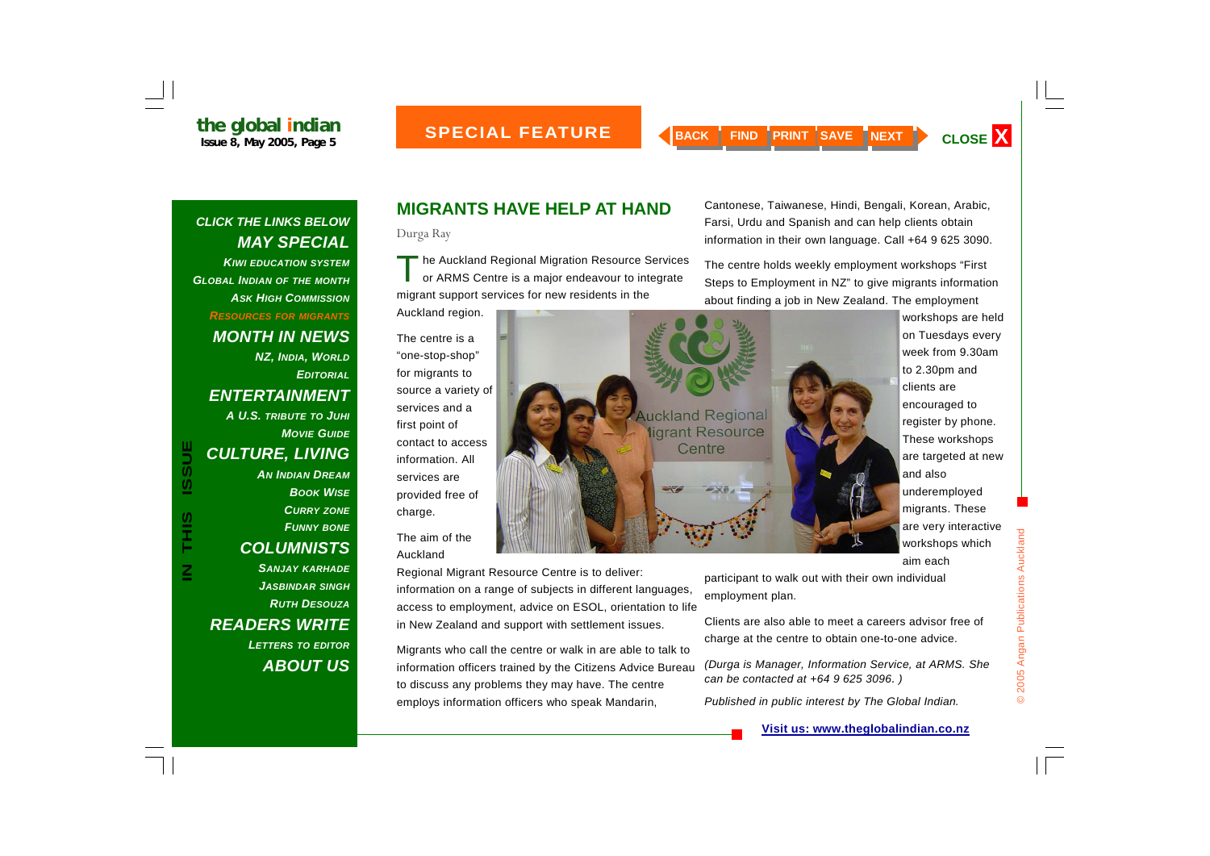*CLICK THE LINKS BELOW MAY SPECIAL KIWI EDUCATION SYSTEMGLOBAL INDIAN OF THE MONTH ASK HIGH COMMISSIONRESOURCES FOR MIGRANTS MONTH IN NEWS NZ, INDIA, WORLD EDITORIALENTERTAINMENT A U.S. TRIBUTE TO JUHI MOVIE GUIDECULTURE, LIVING AN INDIAN DREAMBOOK WISECURRY ZONE FUNNY BONE COLUMNISTS SANJAY KARHADE JASBINDAR SINGH RUTH DESOUZAREADERS WRITE* 

**IN THIS ISSUE**

S<br>HH<br>H

 $\overline{\mathsf{Z}}$ 

**ISSUE** 

*LETTERS TO EDITOR ABOUT US*

### **MIGRANTS HAVE HELP AT HAND**

Durga Ray

The Auckland Regional Migration Resource Services or ARMS Centre is a major endeavour to integrate migrant support services for new residents in the

The centre is a "one-stop-shop" for migrants to source a variety of services and a first point of contact to access information. All services are provided free of charge.

Auckland region.

The aim of the Auckland

Regional Migrant Resource Centre is to deliver: information on a range of subjects in different languages, access to employment, advice on ESOL, orientation to life in New Zealand and support with settlement issues.

Migrants who call the centre or walk in are able to talk to information officers trained by the Citizens Advice Bureau to discuss any problems they may have. The centre employs information officers who speak Mandarin,

Cantonese, Taiwanese, Hindi, Bengali, Korean, Arabic, Farsi, Urdu and Spanish and can help clients obtain information in their own language. Call +64 9 625 3090.

The centre holds weekly employment workshops "First Steps to Employment in NZ" to give migrants information about finding a job in New Zealand. The employment



workshops are held on Tuesdays every week from 9.30am to 2.30pm and clients are encouraged to register by phone. These workshops are targeted at new and also underemployed migrants. These are very interactive workshops which aim each

participant to walk out with their own individual employment plan.

Clients are also able to meet a careers advisor free of charge at the centre to obtain one-to-one advice.

*(Durga is Manager, Information Service, at ARMS. She can be contacted at +64 9 625 3096. )* 

*Published in public interest by The Global Indian.*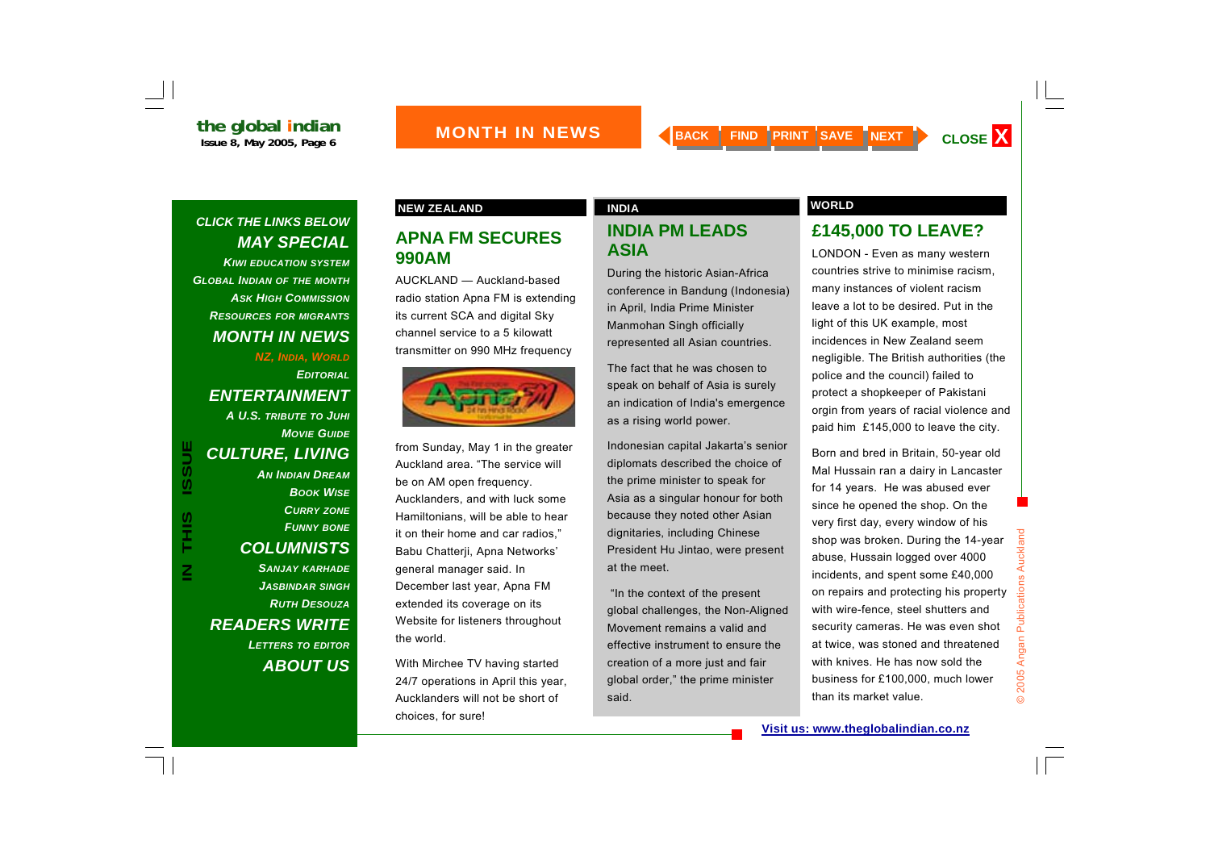*KIWI EDUCATION SYSTEMGLOBAL INDIAN OF THE MONTH ASK HIGH COMMISSIONRESOURCES FOR MIGRANTS MONTH IN NEWS* 

#### *NZ, INDIA, WORLD EDITORIALENTERTAINMENT A U.S. TRIBUTE TO JUHI MOVIE GUIDECULTURE, LIVING*

*AN INDIAN DREAMBOOK WISECURRY ZONE FUNNY BONE COLUMNISTS SANJAY KARHADE JASBINDAR SINGH RUTH DESOUZAREADERS WRITE LETTERS TO EDITOR ABOUT US*

#### **NEW ZEALAND CONSUMING A REAL PROPERTY AND A REAL PROPERTY OF A REAL PROPERTY OF A REAL PROPERTY OF A REAL PROPERTY OF A REAL PROPERTY OF A REAL PROPERTY OF A REAL PROPERTY OF A REAL PROPERTY OF A REAL PROPERTY OF A REAL P**

#### **APNA FM SECURES 990AM**

AUCKLAND — Auckland-based radio station Apna FM is extending its current SCA and digital Sky channel service to a 5 kilowatt transmitter on 990 MHz frequency



from Sunday, May 1 in the greater Auckland area. "The service will be on AM open frequency. Aucklanders, and with luck some Hamiltonians, will be able to hear it on their home and car radios," Babu Chatterji, Apna Networks' general manager said. In December last year, Apna FM extended its coverage on its Website for listeners throughout the world.

With Mirchee TV having started 24/7 operations in April this year, Aucklanders will not be short of choices, for sure!

#### **INDIA PM LEADS ASIA**

During the historic Asian-Africa conference in Bandung (Indonesia) in April, India Prime Minister Manmohan Singh officially represented all Asian countries.

The fact that he was chosen to speak on behalf of Asia is surely an indication of India's emergence as a rising world power.

Indonesian capital Jakarta's senior diplomats described the choice of the prime minister to speak for Asia as a singular honour for both because they noted other Asian dignitaries, including Chinese President Hu Jintao, were present at the meet.

 "In the context of the present global challenges, the Non-Aligned Movement remains a valid and effective instrument to ensure the creation of a more just and fair global order," the prime minister said.

#### **£145,000 TO LEAVE?**

LONDON - Even as many western countries strive to minimise racism, many instances of violent racism leave a lot to be desired. Put in the light of this UK example, most incidences in New Zealand seem negligible. The British authorities (the police and the council) failed to protect a shopkeeper of Pakistani orgin from years of racial violence and paid him £145,000 to leave the city.

Born and bred in Britain, 50-year old Mal Hussain ran a dairy in Lancaster for 14 years. He was abused ever since he opened the shop. On the very first day, every window of his shop was broken. During the 14-year abuse, Hussain logged over 4000 incidents, and spent some £40,000 on repairs and protecting his property with wire-fence, steel shutters and security cameras. He was even shot at twice, was stoned and threatened with knives. He has now sold the business for £100,000, much lower than its market value.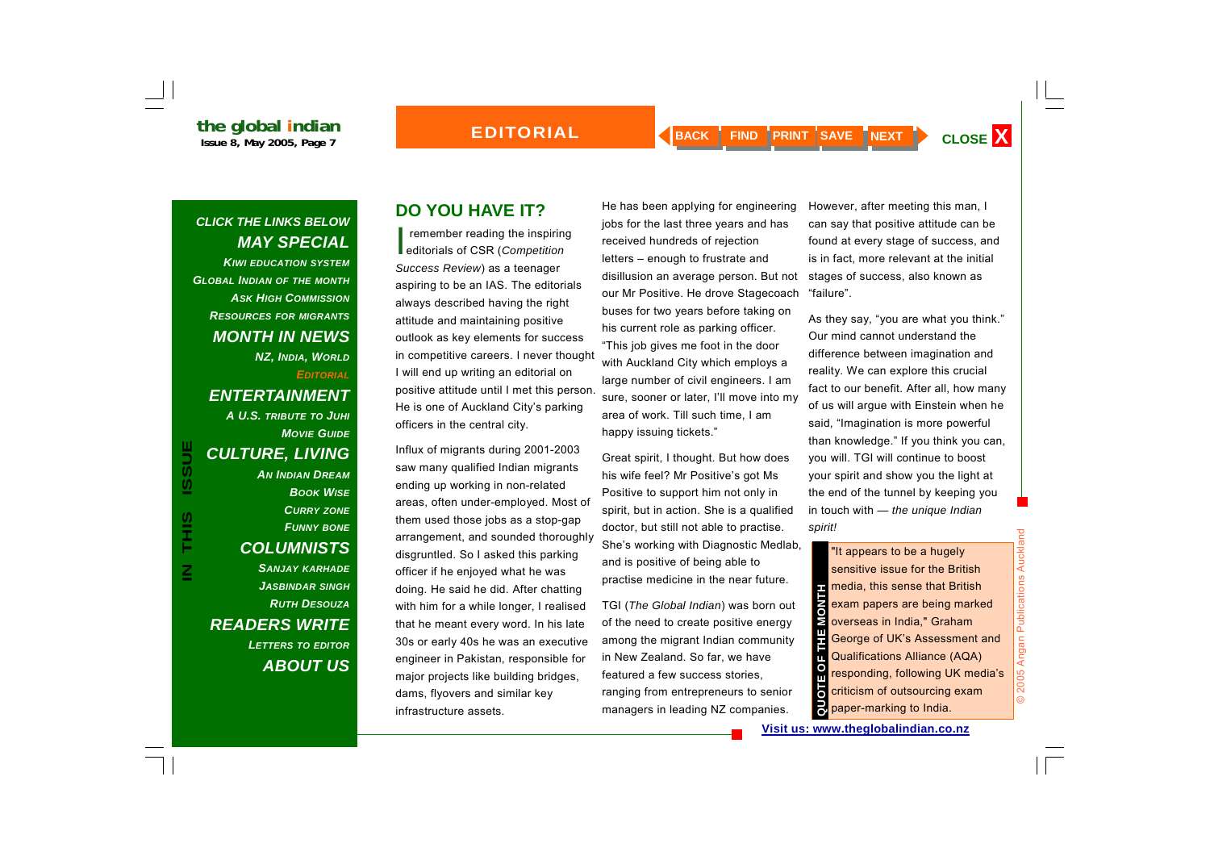*KIWI EDUCATION SYSTEMGLOBAL INDIAN OF THE MONTH ASK HIGH COMMISSIONRESOURCES FOR MIGRANTS MONTH IN NEWS NZ, INDIA, WORLD EDITORIALENTERTAINMENT* 

*MOVIE GUIDECULTURE, LIVING AN INDIAN DREAMBOOK WISECURRY ZONE FUNNY BONE COLUMNISTS SANJAY KARHADE JASBINDAR SINGH RUTH DESOUZAREADERS WRITE LETTERS TO EDITOR ABOUT US*

*A U.S. TRIBUTE TO JUHI*

## **DO YOU HAVE IT?**

I remember reading the inspiring editorials of CSR (*Competition Success Review*) as a teenager aspiring to be an IAS. The editorials always described having the right attitude and maintaining positive outlook as key elements for success in competitive careers. I never thought I will end up writing an editorial on positive attitude until I met this person. He is one of Auckland City's parking officers in the central city.

Influx of migrants during 2001-2003 saw many qualified Indian migrants ending up working in non-related areas, often under-employed. Most of them used those jobs as a stop-gap arrangement, and sounded thoroughly disgruntled. So I asked this parking officer if he enjoyed what he was doing. He said he did. After chatting with him for a while longer, I realised that he meant every word. In his late 30s or early 40s he was an executive engineer in Pakistan, responsible for major projects like building bridges, dams, flyovers and similar key infrastructure assets. **IN TURE, LIVING**<br> **IN INDIAN DREAM**<br> **IN INDIAN DREAM**<br> **IN INDIAN DREAM**<br> **IN INDIAN DREAM**<br> **IN INDIAN DREAM**<br> **IN INDIAN DREAM**<br> **IN INDIAN DREAM**<br> **IN INDIAN DREAM**<br> **IN INDIAN DREAM**<br> **IN INDIAN DREAM**<br> **IN IN IN INC** 

He has been applying for engineering jobs for the last three years and has received hundreds of rejection letters – enough to frustrate and disillusion an average person. But not our Mr Positive. He drove Stagecoach buses for two years before taking on his current role as parking officer. "This job gives me foot in the door with Auckland City which employs a large number of civil engineers. I am sure, sooner or later, I'll move into my area of work. Till such time, I am happy issuing tickets."

Great spirit, I thought. But how does his wife feel? Mr Positive's got Ms Positive to support him not only in spirit, but in action. She is a qualified doctor, but still not able to practise. She's working with Diagnostic Medlab, and is positive of being able to practise medicine in the near future.

TGI (*The Global Indian*) was born out of the need to create positive energy among the migrant Indian community in New Zealand. So far, we have featured a few success stories, ranging from entrepreneurs to senior managers in leading NZ companies.

However, after meeting this man, I can say that positive attitude can be found at every stage of success, and is in fact, more relevant at the initial stages of success, also known as "failure".

As they say, "you are what you think." Our mind cannot understand the difference between imagination and reality. We can explore this crucial fact to our benefit. After all, how many of us will argue with Einstein when he said, "Imagination is more powerful than knowledge." If you think you can, you will. TGI will continue to boost your spirit and show you the light at the end of the tunnel by keeping you in touch with — *the unique Indian spirit!*

media, this sense that British exam papers are being marked **S** overseas in India," Graham George of UK's Assessment and Qualifications Alliance (AQA) responding, following UK media's criticism of outsourcing exam **QUORTER SETT:**<br> **DEPETENCE OF THE MONET CONTROLLED ASSESS**<br> **CUCULT:**<br> **CUCULT:**<br> **CUCULT:**<br> **CUCULT:**<br> **CUCULT:**<br> **CUCULT:**<br> **CUCULT:**<br> **CUCULT:**<br> **CUCULT:**<br> **CUCULT:**<br> **CUCULT:**<br> **CUCULT:**<br> **CUCULT:**<br> **CUCULT:**<br> **CUCULT** 

© 2005 Angan Publications Auckland

**© 2005** 

Angan Publications Auckland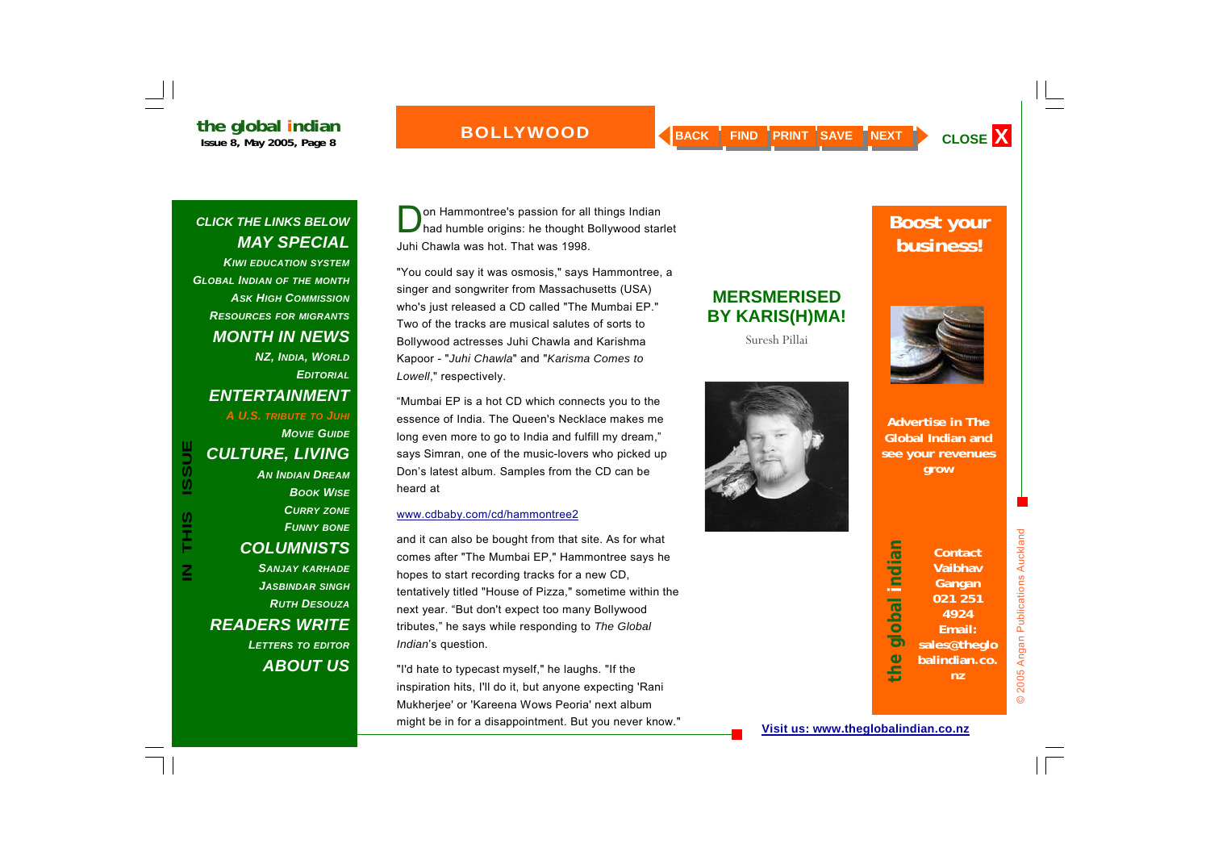**BOLLYWOOD** 

*CLICK THE LINKS BELOW MAY SPECIAL KIWI EDUCATION SYSTEMGLOBAL INDIAN OF THE MONTH ASK HIGH COMMISSIONRESOURCES FOR MIGRANTS MONTH IN NEWS NZ, INDIA, WORLD EDITORIALENTERTAINMENT A U.S. TRIBUTE TO JUHI MOVIE GUIDECULTURE, LIVING AN INDIAN DREAMBOOK WISECURRY ZONE FUNNY BONE COLUMNISTS SANJAY KARHADE JASBINDAR SINGH RUTH DESOUZAREADERS WRITE LETTERS TO EDITOR ABOUT US*

**IN THIS ISSUE**

S<br>H<br>H<br>H

 $\overline{\underline{z}}$ 

**ISSUE** 

on Hammontree's passion for all things Indian<br>had humble origins: he thought Bollywood starlet Juhi Chawla was hot. That was 1998.

"You could say it was osmosis," says Hammontree, a singer and songwriter from Massachusetts (USA) who's just released a CD called "The Mumbai EP." Two of the tracks are musical salutes of sorts to Bollywood actresses Juhi Chawla and Karishma Kapoor - "*Juhi Chawla*" and "*Karisma Comes to Lowell*," respectively.

"Mumbai EP is a hot CD which connects you to the essence of India. The Queen's Necklace makes me long even more to go to India and fulfill my dream," says Simran, one of the music-lovers who picked up Don's latest album. Samples from the CD can be heard at

#### www.cdbaby.com/cd/hammontree2

and it can also be bought from that site. As for what comes after "The Mumbai EP," Hammontree says he hopes to start recording tracks for a new CD, tentatively titled "House of Pizza," sometime within the next year. "But don't expect too many Bollywood tributes," he says while responding to *The Global Indian*'s question.

"I'd hate to typecast myself," he laughs. "If the inspiration hits, I'll do it, but anyone expecting 'Rani Mukherjee' or 'Kareena Wows Peoria' next album might be in for a disappointment. But you never know."

## **MERSMERISED BY KARIS(H)MA!**

Suresh Pillai



## **Boost your business!**



**Advertise in The Global Indian and see your revenues grow**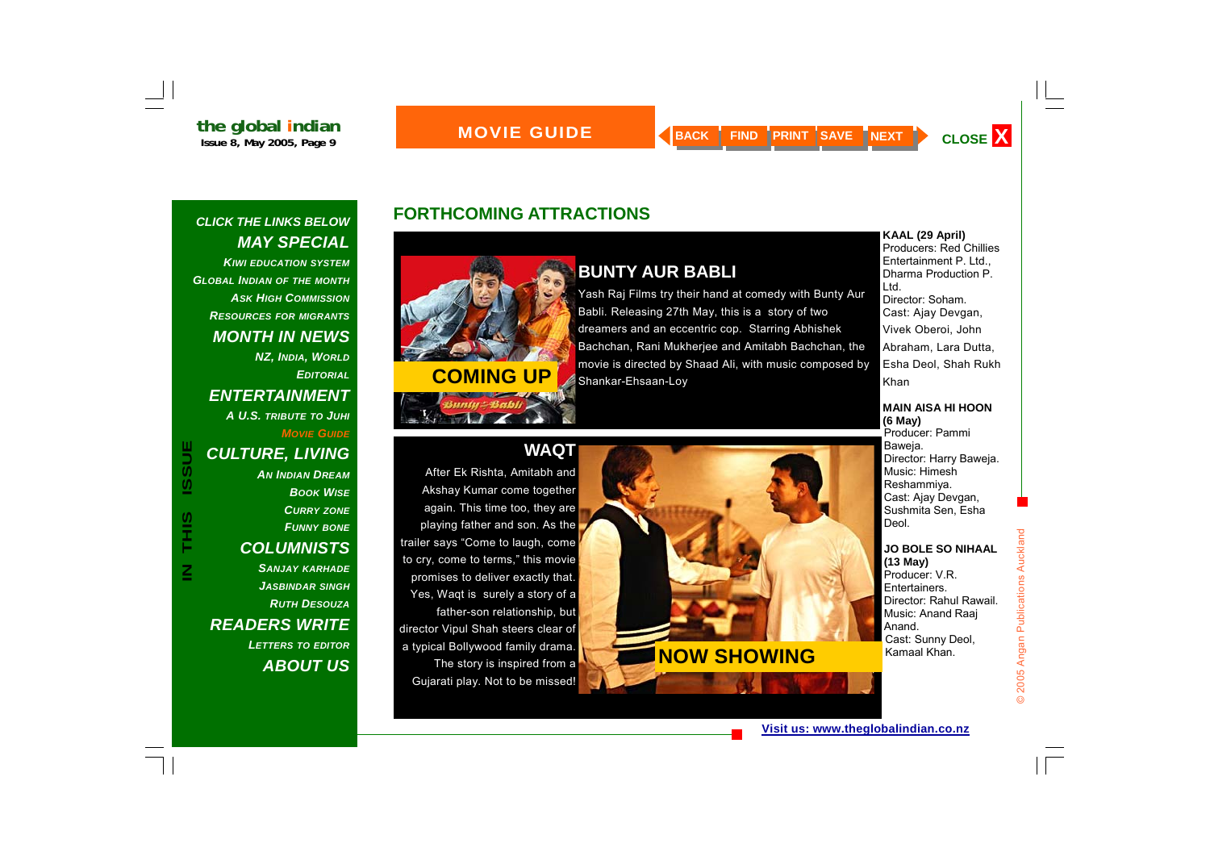*CLICK THE LINKS BELOW* 

*MAY SPECIAL* 

## **FORTHCOMING ATTRACTIONS**



Yes, Waqt is surely a story of a

director Vipul Shah steers clear of a typical Bollywood family drama.

father-son relationship, but

The story is inspired from a

Gujarati play. Not to be missed!

## **BUNTY AUR BABLI**

Yash Raj Films try their hand at comedy with Bunty Aur Babli. Releasing 27th May, this is a story of two dreamers and an eccentric cop. Starring Abhishek Bachchan, Rani Mukherjee and Amitabh Bachchan, the **COMING UP COMING COMING COMING COMING COMING COMING COMING COMING COMING COMING COMING COMING COMING COMING COMING COMING COMING COMING COMING COMING COMING COMING COMING CO** 

**KAAL (29 April)**  Producers: Red Chillies Entertainment P. Ltd., Dharma Production P. Ltd. Director: Soham. Cast: Ajay Devgan, Vivek Oberoi, John Abraham, Lara Dutta, Esha Deol, Shah Rukh Khan

#### **MAIN AISA HI HOON (6 May)**

Producer: Pammi Baweja. Director: Harry Baweja. Music: Himesh Reshammiya. Cast: Ajay Devgan, Sushmita Sen, Esha Deol.

#### **JO BOLE SO NIHAAL(13 May)**

Producer: V.R. Entertainers. Director: Rahul Rawail. Music: Anand Raaj Anand. Cast: Sunny Deol, Kamaal Khan.

© 2005 Angan Publications Auckland

2005 Angan Publications Auckland

# **NOW SHOWING**

*KIWI EDUCATION SYSTEMGLOBAL INDIAN OF THE MONTH ASK HIGH COMMISSIONRESOURCES FOR MIGRANTS MONTH IN NEWS NZ, INDIA, WORLD EDITORIALENTERTAINMENT A U.S. TRIBUTE TO JUHI MOVIE GUIDECULTURE, LIVING* 

#### *AN INDIAN DREAMBOOK WISECURRY ZONE FUNNY BONE COLUMNISTS SANJAY KARHADE JASBINDAR SINGH* **CULTURE, LIVING**<br>
AN INDIAN DREAM<br>
BOOK WISE<br>
CURRY ZONE<br>
FUNNY BOOK<br>
COLUMNISTS<br>
SANJAY KARHADE<br>
ARDER SANJAY ARHADE<br>
COLUMBER SANJAY ARHADE<br>
COLUMBER SANJAY ARHADE TO THE SANJAY ARHADE TO THE SANJAY ARHADE TO THE SANJAY

*RUTH DESOUZAREADERS WRITE LETTERS TO EDITOR ABOUT US*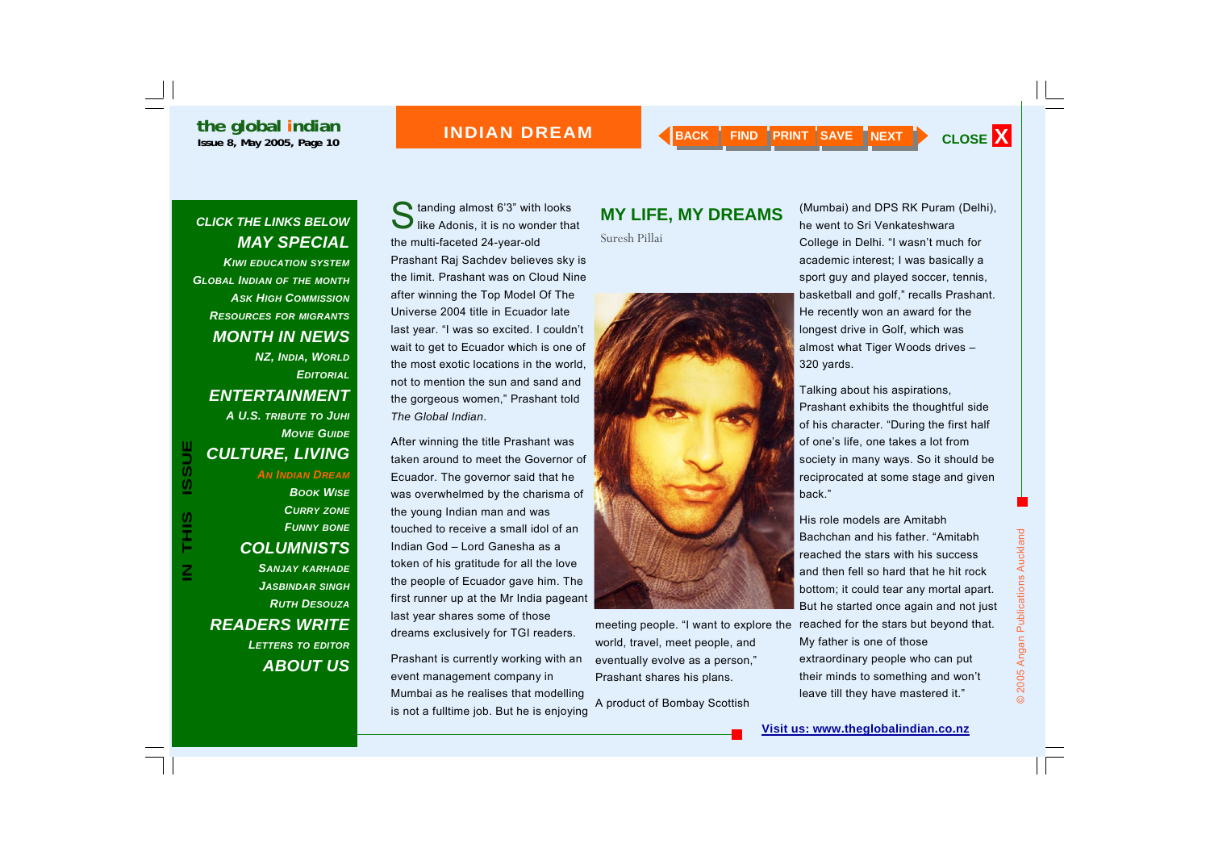#### **INDIAN DREAM**

### *CLICK THE LINKS BELOW MAY SPECIAL*

*KIWI EDUCATION SYSTEMGLOBAL INDIAN OF THE MONTH ASK HIGH COMMISSIONRESOURCES FOR MIGRANTS MONTH IN NEWS NZ, INDIA, WORLD EDITORIALENTERTAINMENT A U.S. TRIBUTE TO JUHI MOVIE GUIDECULTURE, LIVING AN INDIAN DREAMBOOK WISECURRY ZONE FUNNY BONE COLUMNISTS SANJAY KARHADE JASBINDAR SINGH RUTH DESOUZAREADERS WRITE LETTERS TO EDITOR ABOUT US*

**IN THIS ISSUE**

S<br>HH<br>H

 $\overline{\mathbf{z}}$ 

**ISSUE** 

Standing almost 6'3" with looks<br>like Adonis, it is no wonder that the multi-faceted 24-year-old Prashant Raj Sachdev believes sky is the limit. Prashant was on Cloud Nine after winning the Top Model Of The Universe 2004 title in Ecuador late last year. "I was so excited. I couldn't wait to get to Ecuador which is one of the most exotic locations in the world, not to mention the sun and sand and the gorgeous women," Prashant told *The Global Indian*.

After winning the title Prashant was taken around to meet the Governor of Ecuador. The governor said that he was overwhelmed by the charisma of the young Indian man and was touched to receive a small idol of an Indian God – Lord Ganesha as a token of his gratitude for all the love the people of Ecuador gave him. The first runner up at the Mr India pageant last year shares some of those dreams exclusively for TGI readers.

Prashant is currently working with an event management company in Mumbai as he realises that modelling is not a fulltime job. But he is enjoying

# **MY LIFE, MY DREAMS**

Suresh Pillai



meeting people. "I want to explore the world, travel, meet people, and eventually evolve as a person," Prashant shares his plans.

A product of Bombay Scottish

(Mumbai) and DPS RK Puram (Delhi), he went to Sri Venkateshwara College in Delhi. "I wasn't much for academic interest; I was basically a sport guy and played soccer, tennis, basketball and golf," recalls Prashant. He recently won an award for the longest drive in Golf, which was almost what Tiger Woods drives – 320 yards.

Talking about his aspirations, Prashant exhibits the thoughtful side of his character. "During the first half of one's life, one takes a lot from society in many ways. So it should be reciprocated at some stage and given back."

His role models are Amitabh Bachchan and his father. "Amitabh reached the stars with his success and then fell so hard that he hit rock bottom; it could tear any mortal apart. But he started once again and not just reached for the stars but beyond that. My father is one of those extraordinary people who can put their minds to something and won't leave till they have mastered it."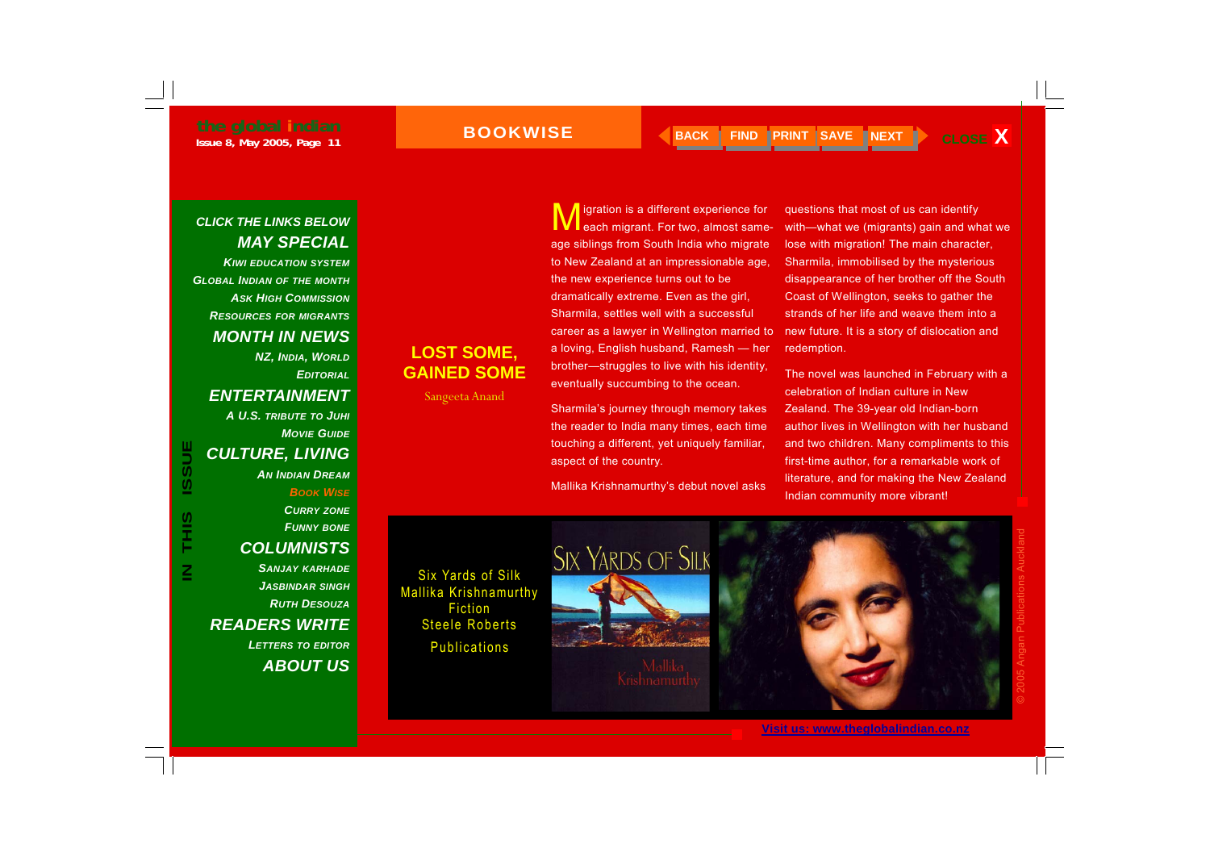*KIWI EDUCATION SYSTEMGLOBAL INDIAN OF THE MONTH ASK HIGH COMMISSIONRESOURCES FOR MIGRANTS MONTH IN NEWS* 

> *NZ, INDIA, WORLD EDITORIAL*

#### *ENTERTAINMENT*

*A U.S. TRIBUTE TO JUHI MOVIE GUIDECULTURE, LIVING* 

*AN INDIAN DREAM*

*BOOK WISE*

*CURRY ZONE FUNNY BONE COLUMNISTS*  **IN CULTURE, LIVING**<br>
IN AN INDIAN DREAM<br>
BOOK WISE<br>
CURRY ZONE<br>
FUNNY BONE<br>
COLUMNISTS<br>
SANJAY KARHADE<br>
SIX Yards of Silk

*SANJAY KARHADE JASBINDAR SINGH RUTH DESOUZAREADERS WRITE LETTERS TO EDITOR ABOUT US*

igration is a different experience for each migrant. For two, almost sameage siblings from South India who migrate to New Zealand at an impressionable age, the new experience turns out to be dramatically extreme. Even as the girl, Sharmila, settles well with a successful career as a lawyer in Wellington married to a loving, English husband, Ramesh — her brother—struggles to live with his identity, eventually succumbing to the ocean.

Sharmila's journey through memory takes the reader to India many times, each time touching a different, yet uniquely familiar, aspect of the country.

Mallika Krishnamurthy's debut novel asks

questions that most of us can identify with—what we (migrants) gain and what we lose with migration! The main character, Sharmila, immobilised by the mysterious disappearance of her brother off the South Coast of Wellington, seeks to gather the strands of her life and weave them into a new future. It is a story of dislocation and redemption.

The novel was launched in February with a celebration of Indian culture in New Zealand. The 39-year old Indian-born author lives in Wellington with her husband and two children. Many compliments to this first-time author, for a remarkable work of literature, and for making the New Zealand Indian community more vibrant!



**LOST SOME, GAINED SOME** 

Sangeeta Anand



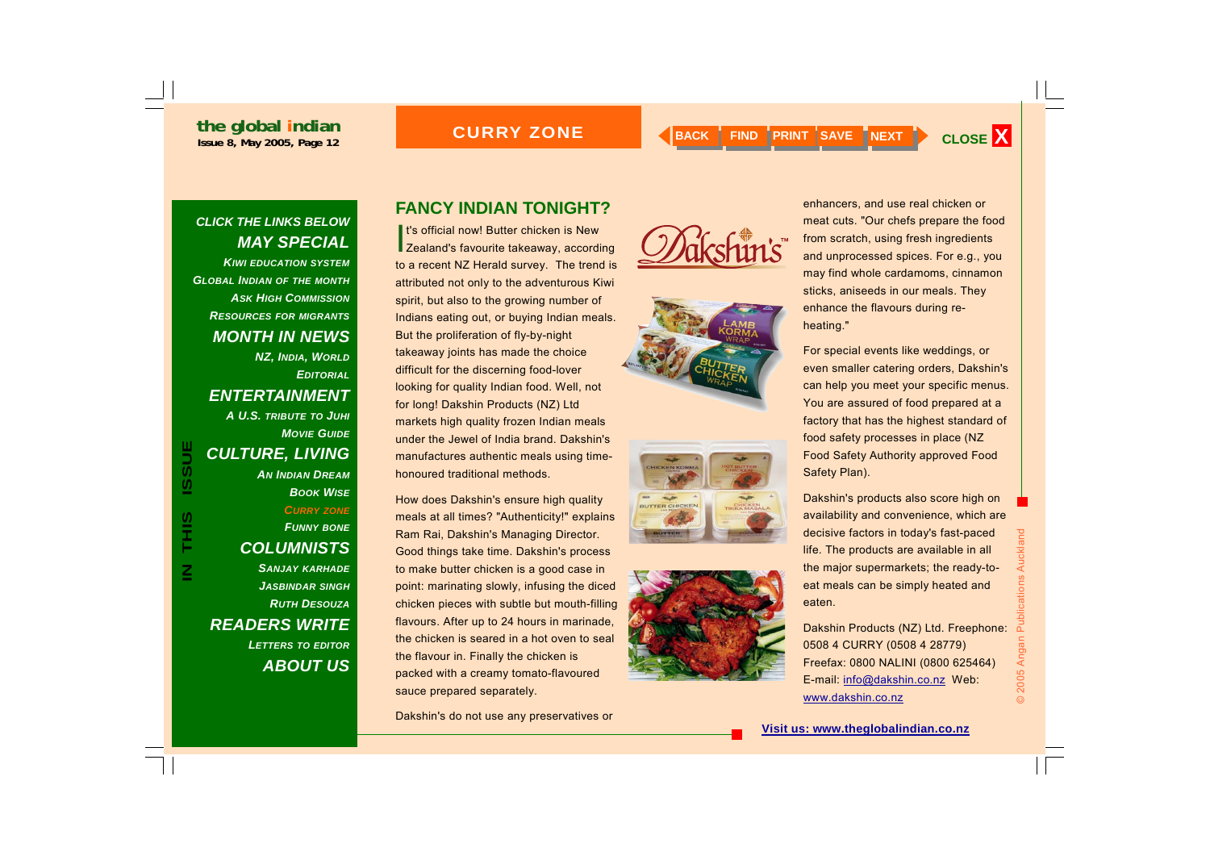*CLICK THE LINKS BELOW* 

*MAY SPECIAL* 

#### **CURRY ZONE**



#### *KIWI EDUCATION SYSTEMGLOBAL INDIAN OF THE MONTH ASK HIGH COMMISSIONRESOURCES FOR MIGRANTS MONTH IN NEWS NZ, INDIA, WORLD EDITORIALENTERTAINMENT A U.S. TRIBUTE TO JUHI MOVIE GUIDECULTURE, LIVING AN INDIAN DREAMBOOK WISECURRY ZONE FUNNY BONE COLUMNISTS SANJAY KARHADE JASBINDAR SINGH RUTH DESOUZAREADERS WRITE LETTERS TO EDITOR ABOUT US*

**IN THIS ISSUE**

S<br>HH<br>H

 $\overline{\mathsf{z}}$ 

ISSUE

### **FANCY INDIAN TONIGHT?**

**It's official now! Butter chicken is New Zealand's favourite takeaway, according** to a recent NZ Herald survey. The trend is attributed not only to the adventurous Kiwi spirit, but also to the growing number of Indians eating out, or buying Indian meals. But the proliferation of fly-by-night takeaway joints has made the choice difficult for the discerning food-lover looking for quality Indian food. Well, not for long! Dakshin Products (NZ) Ltd markets high quality frozen Indian meals under the Jewel of India brand. Dakshin's manufactures authentic meals using timehonoured traditional methods.

How does Dakshin's ensure high quality meals at all times? "Authenticity!" explains Ram Rai, Dakshin's Managing Director. Good things take time. Dakshin's process to make butter chicken is a good case in point: marinating slowly, infusing the diced chicken pieces with subtle but mouth-filling flavours. After up to 24 hours in marinade, the chicken is seared in a hot oven to seal the flavour in. Finally the chicken is packed with a creamy tomato-flavoured sauce prepared separately.

Dakshin's do not use any preservatives or









enhancers, and use real chicken or meat cuts. "Our chefs prepare the food from scratch, using fresh ingredients and unprocessed spices. For e.g., you may find whole cardamoms, cinnamon sticks, aniseeds in our meals. They enhance the flavours during reheating."

For special events like weddings, or even smaller catering orders, Dakshin's can help you meet your specific menus. You are assured of food prepared at a factory that has the highest standard of food safety processes in place (NZ Food Safety Authority approved Food Safety Plan).

Dakshin's products also score high on availability and convenience, which are decisive factors in today's fast-paced life. The products are available in all the major supermarkets; the ready-toeat meals can be simply heated and eaten.

Dakshin Products (NZ) Ltd. Freephone: 0508 4 CURRY (0508 4 28779) Freefax: 0800 NALINI (0800 625464) E-mail: info@dakshin.co.nz Web: www.dakshin.co.nz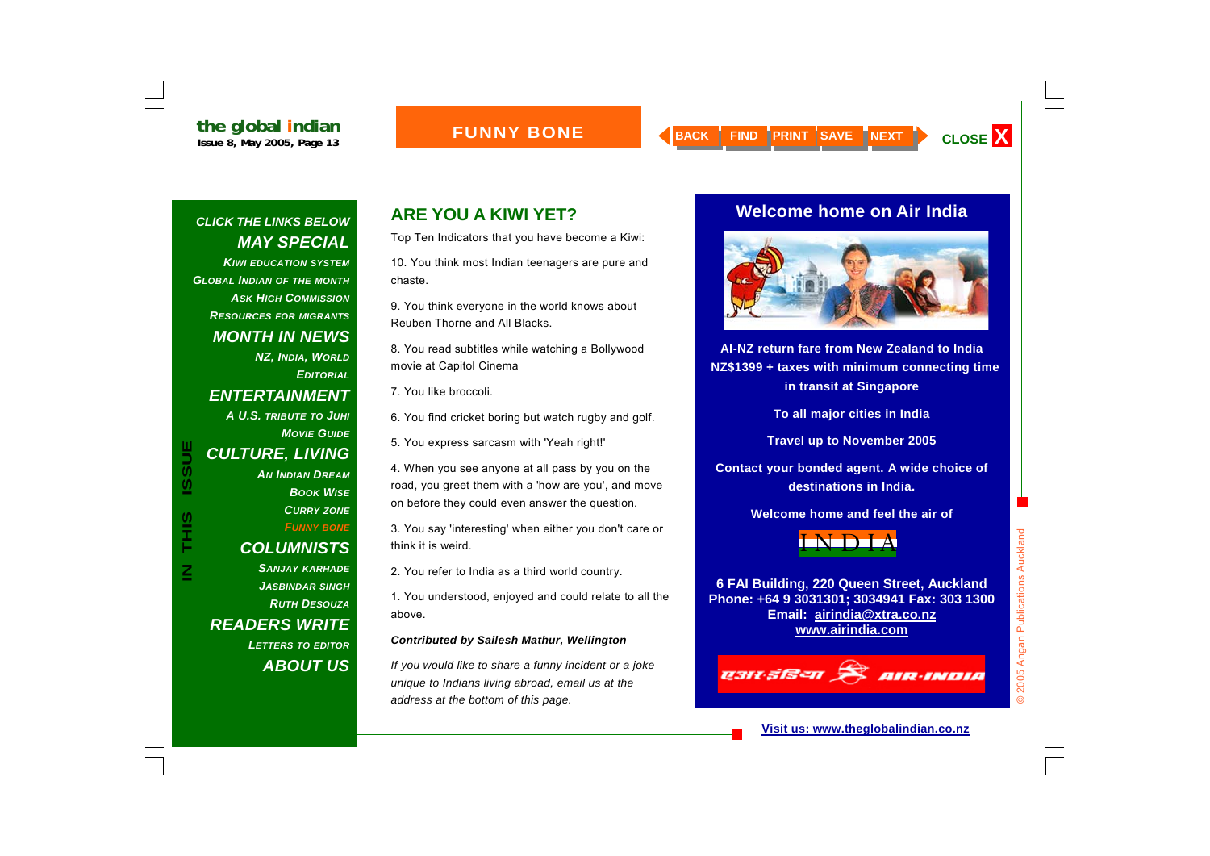*KIWI EDUCATION SYSTEMGLOBAL INDIAN OF THE MONTH ASK HIGH COMMISSIONRESOURCES FOR MIGRANTS MONTH IN NEWS NZ, INDIA, WORLD EDITORIALENTERTAINMENT A U.S. TRIBUTE TO JUHI MOVIE GUIDECULTURE, LIVING AN INDIAN DREAMBOOK WISECURRY ZONE FUNNY BONE COLUMNISTS SANJAY KARHADE JASBINDAR SINGH RUTH DESOUZAREADERS WRITE* 

**IN THIS ISSUE**

SIL<br>T

 $\overline{\mathsf{Z}}$ 

**ISSUE** 

*LETTERS TO EDITOR ABOUT US*

## **ARE YOU A KIWI YET?**

Top Ten Indicators that you have become a Kiwi:

10. You think most Indian teenagers are pure and chaste.

9. You think everyone in the world knows about Reuben Thorne and All Blacks.

8. You read subtitles while watching a Bollywood movie at Capitol Cinema

7. You like broccoli.

6. You find cricket boring but watch rugby and golf.

5. You express sarcasm with 'Yeah right!'

4. When you see anyone at all pass by you on the road, you greet them with a 'how are you', and move on before they could even answer the question.

3. You say 'interesting' when either you don't care or think it is weird.

2. You refer to India as a third world country.

1. You understood, enjoyed and could relate to all the above.

#### *Contributed by Sailesh Mathur, Wellington*

*If you would like to share a funny incident or a joke unique to Indians living abroad, email us at the address at the bottom of this page.* 

#### **Welcome home on Air India**



**AI-NZ return fare from New Zealand to India NZ\$1399 + taxes with minimum connecting time in transit at Singapore** 

**To all major cities in India** 

**Travel up to November 2005** 

**Contact your bonded agent. A wide choice of destinations in India.** 

**Welcome home and feel the air of** 



**6 FAI Building, 220 Queen Street, Auckland Phone: +64 9 3031301; 3034941 Fax: 303 1300 Email: airindia@xtra.co.nz www.airindia.com**

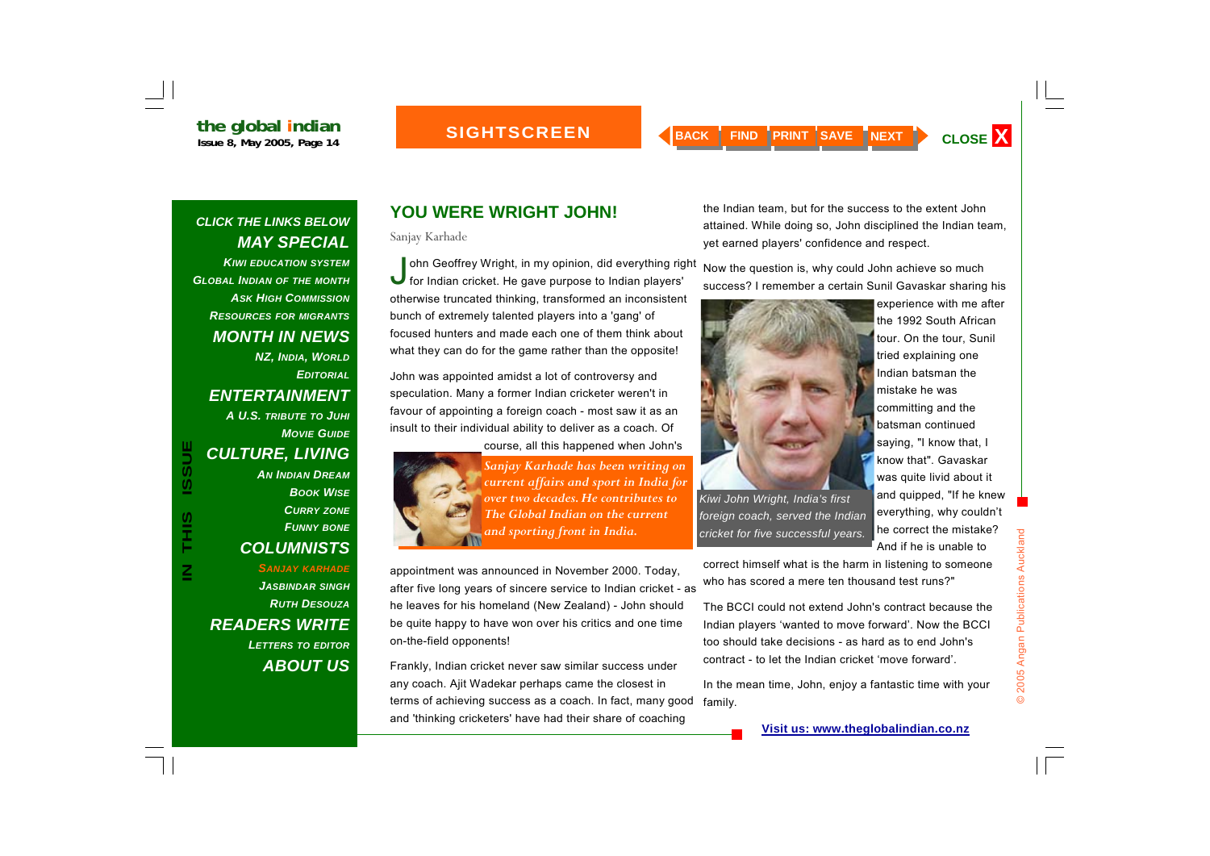#### **SIGHTSCREEN**

### *CLICK THE LINKS BELOW MAY SPECIAL*

*KIWI EDUCATION SYSTEMGLOBAL INDIAN OF THE MONTH ASK HIGH COMMISSIONRESOURCES FOR MIGRANTS MONTH IN NEWS NZ, INDIA, WORLD EDITORIALENTERTAINMENT A U.S. TRIBUTE TO JUHI MOVIE GUIDECULTURE, LIVING AN INDIAN DREAMBOOK WISECURRY ZONE FUNNY BONE COLUMNISTS SANJAY KARHADE* CULTURE, LIVING<br>
MAINDIAN DREAM<br>
BOOK WISE<br>
CURRY ZONE<br>
CURRY ZONE<br>
COLUMNISTS<br>
COLUMNISTS<br>
AN INDIAN OREAM<br>
BOOK WISE<br>
CURRY ZONE<br>
THE Global Indian on the current<br>
and sporting front in India.<br>
The Global Indian on the c

*JASBINDAR SINGH RUTH DESOUZAREADERS WRITE LETTERS TO EDITOR ABOUT US*

### **YOU WERE WRIGHT JOHN!**

Sanjay Karhade

John Geoffrey Wright, in my opinion, did everything right for Indian cricket. He gave purpose to Indian players' otherwise truncated thinking, transformed an inconsistent bunch of extremely talented players into a 'gang' of focused hunters and made each one of them think about what they can do for the game rather than the opposite!

John was appointed amidst a lot of controversy and speculation. Many a former Indian cricketer weren't in favour of appointing a foreign coach - most saw it as an insult to their individual ability to deliver as a coach. Of course, all this happened when John's



appointment was announced in November 2000. Today, after five long years of sincere service to Indian cricket - as he leaves for his homeland (New Zealand) - John should be quite happy to have won over his critics and one time on-the-field opponents!

Frankly, Indian cricket never saw similar success under any coach. Ajit Wadekar perhaps came the closest in terms of achieving success as a coach. In fact, many good and 'thinking cricketers' have had their share of coaching

the Indian team, but for the success to the extent John attained. While doing so, John disciplined the Indian team, yet earned players' confidence and respect.

Now the question is, why could John achieve so much success? I remember a certain Sunil Gavaskar sharing his



experience with me after the 1992 South African tour. On the tour, Sunil tried explaining one Indian batsman the mistake he was committing and the batsman continued saying, "I know that, I know that". Gavaskar was quite livid about it and quipped, "If he knew everything, why couldn't he correct the mistake? And if he is unable to

correct himself what is the harm in listening to someone who has scored a mere ten thousand test runs?"

The BCCI could not extend John's contract because the Indian players 'wanted to move forward'. Now the BCCI too should take decisions - as hard as to end John's contract - to let the Indian cricket 'move forward'.

In the mean time, John, enjoy a fantastic time with your family.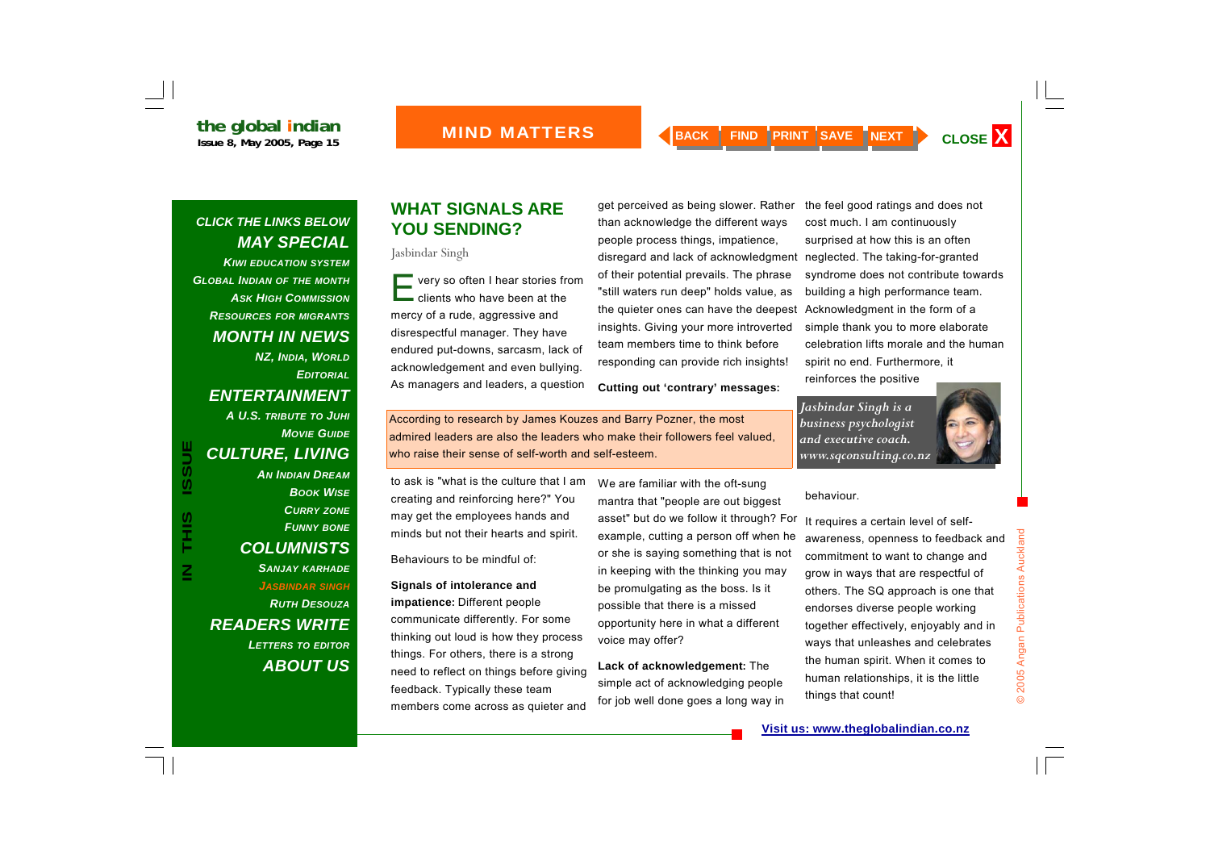*KIWI EDUCATION SYSTEMGLOBAL INDIAN OF THE MONTH ASK HIGH COMMISSIONRESOURCES FOR MIGRANTS MONTH IN NEWS NZ, INDIA, WORLD EDITORIALENTERTAINMENT A U.S. TRIBUTE TO JUHI MOVIE GUIDECULTURE, LIVING AN INDIAN DREAMBOOK WISECURRY ZONE FUNNY BONE COLUMNISTS SANJAY KARHADE JASBINDAR SINGH RUTH DESOUZA READERS WRITE LETTERS TO EDITOR ABOUT US*

#### **WHAT SIGNALS ARE YOU SENDING?**

Jasbindar Singh

 $\blacksquare$  very so often I hear stories from  $\blacksquare$  clients who have been at the mercy of a rude, aggressive and disrespectful manager. They have endured put-downs, sarcasm, lack of acknowledgement and even bullying. As managers and leaders, a question

get perceived as being slower. Rather than acknowledge the different ways people process things, impatience, disregard and lack of acknowledgment neglected. The taking-for-granted of their potential prevails. The phrase "still waters run deep" holds value, as the quieter ones can have the deepest insights. Giving your more introverted team members time to think before responding can provide rich insights!

**Cutting out 'contrary' messages:**

the feel good ratings and does not cost much. I am continuously surprised at how this is an often syndrome does not contribute towards building a high performance team. Acknowledgment in the form of a simple thank you to more elaborate celebration lifts morale and the human spirit no end. Furthermore, it reinforces the positive

*Jasbindar Singh is a business psychologist and executive coach. www.sqconsulting.co.nz* 



According to research by James Kouzes and Barry Pozner, the most admired leaders are also the leaders who make their followers feel valued, who raise their sense of self-worth and self-esteem.

to ask is "what is the culture that I am creating and reinforcing here?" You may get the employees hands and minds but not their hearts and spirit.

Behaviours to be mindful of:

**Signals of intolerance and impatience:** Different people communicate differently. For some thinking out loud is how they process things. For others, there is a strong need to reflect on things before giving feedback. Typically these team members come across as quieter and

We are familiar with the oft-sung mantra that "people are out biggest asset" but do we follow it through? For example, cutting a person off when he or she is saying something that is not in keeping with the thinking you may be promulgating as the boss. Is it possible that there is a missed opportunity here in what a different voice may offer?

**Lack of acknowledgement:** The simple act of acknowledging people for job well done goes a long way in

#### behaviour.

It requires a certain level of selfawareness, openness to feedback and commitment to want to change and grow in ways that are respectful of others. The SQ approach is one that endorses diverse people working together effectively, enjoyably and in ways that unleashes and celebrates the human spirit. When it comes to human relationships, it is the little things that count!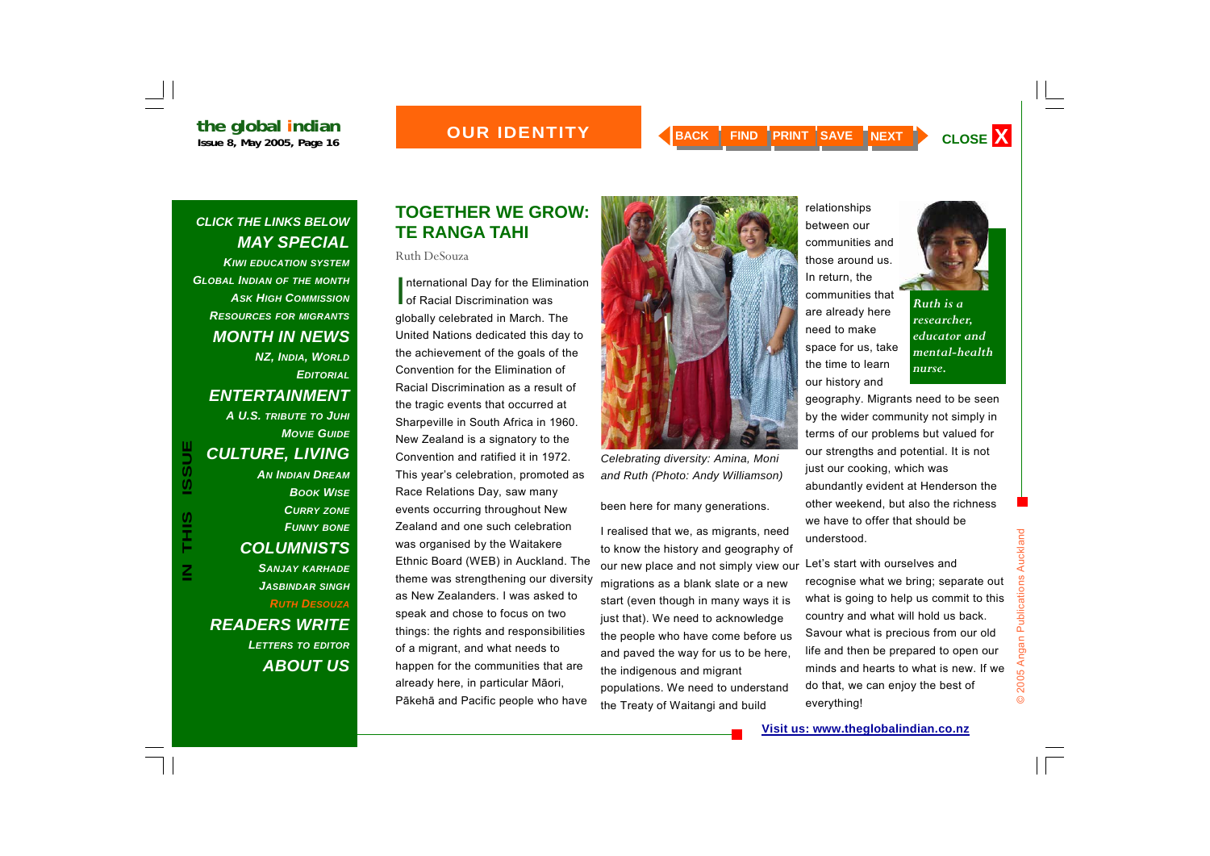### *OUR IDENTITY*

#### *CLICK THE LINKS BELOW MAY SPECIAL KIWI EDUCATION SYSTEMGLOBAL INDIAN OF THE MONTH ASK HIGH COMMISSION*

*RESOURCES FOR MIGRANTS MONTH IN NEWS NZ, INDIA, WORLD EDITORIALENTERTAINMENT A U.S. TRIBUTE TO JUHI MOVIE GUIDECULTURE, LIVING AN INDIAN DREAMBOOK WISECURRY ZONE FUNNY BONE COLUMNISTS SANJAY KARHADE JASBINDAR SINGH RUTH DESOUZA*

*READERS WRITE LETTERS TO EDITOR ABOUT US*

### **TOGETHER WE GROW: TE RANGA TAHI**

Ruth DeSouza

International Day for the Elimination<br>
of Racial Discrimination was globally celebrated in March. The United Nations dedicated this day to the achievement of the goals of the Convention for the Elimination of Racial Discrimination as a result of the tragic events that occurred at Sharpeville in South Africa in 1960. New Zealand is a signatory to the Convention and ratified it in 1972. This year's celebration, promoted as Race Relations Day, saw many events occurring throughout New Zealand and one such celebration was organised by the Waitakere Ethnic Board (WEB) in Auckland. The theme was strengthening our diversity as New Zealanders. I was asked to speak and chose to focus on two things: the rights and responsibilities of a migrant, and what needs to happen for the communities that are already here, in particular M āori, P ākeh ā and Pacific people who have **IN TURE, LIVING**<br> **IN THIS ISSUE CONVERT CONCERNATION CONSERVERT THE SECTION CONSERVERT THE SECTION CONSERVERT COLUMNISTS<br>
<b>IN THE SANJAY KARHADE**<br> **IN THE SANJAY KARHADE**<br> **IN THE SANJAY KARHADE**<br> **IN THE SANJAY KARHADE** 



been here for many generations.

I realised that we, as migrants, need to know the history and geography of our new place and not simply view our migrations as a blank slate or a new start (even though in many ways it is just that). We need to acknowledge the people who have come before us and paved the way for us to be here, the indigenous and migrant populations. We need to understand the Treaty of Waitangi and build





*Ruth is a researcher, educator and mental-health nurse.* 

geography. Migrants need to be seen by the wider community not simply in terms of our problems but valued for our strengths and potential. It is not just our cooking, which was abundantly evident at Henderson the other weekend, but also the richness we have to offer that should be understood.

Let's start with ourselves and recognise what we bring; separate out what is going to help us commit to this country and what will hold us back. Savour what is precious from our old life and then be prepared to open our minds and hearts to what is new. If we do that, we can enjoy the best of everything!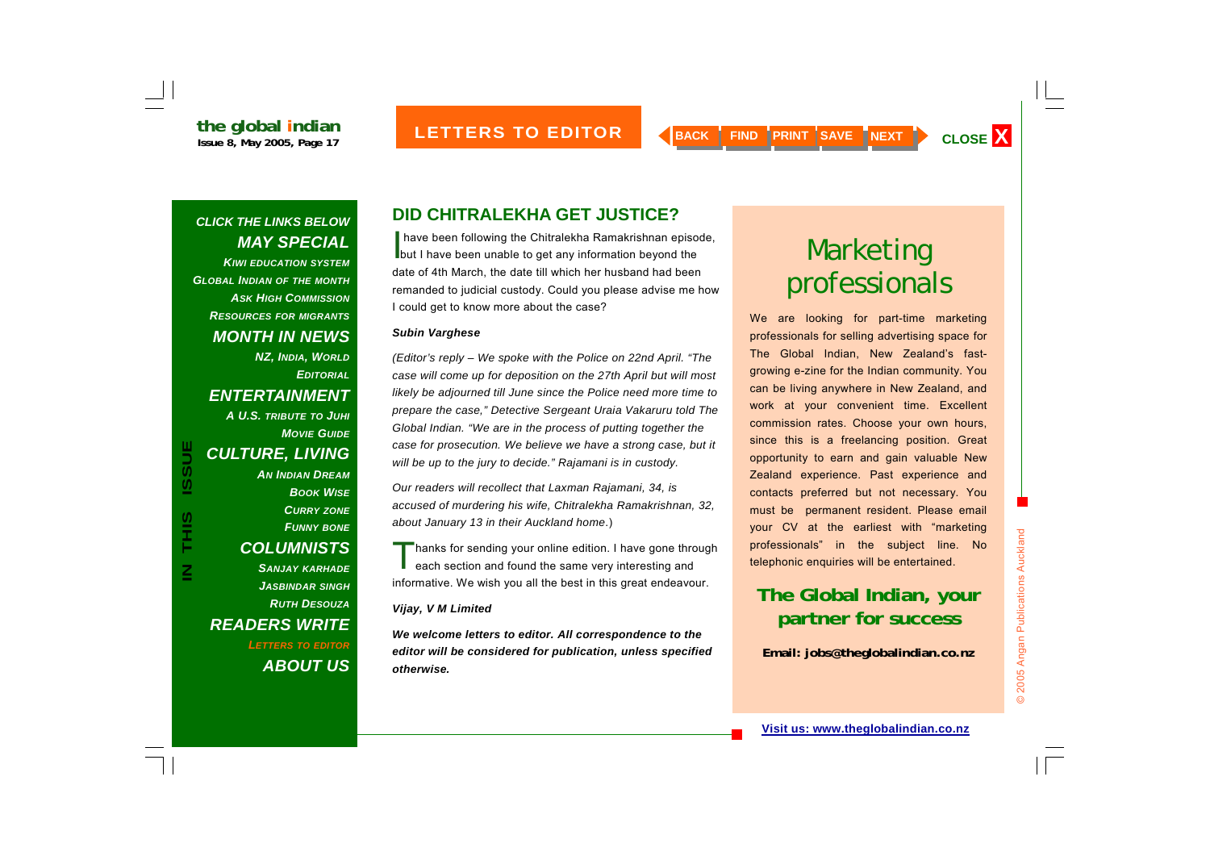*KIWI EDUCATION SYSTEMGLOBAL INDIAN OF THE MONTH ASK HIGH COMMISSIONRESOURCES FOR MIGRANTS MONTH IN NEWS NZ, INDIA, WORLD EDITORIALENTERTAINMENT A U.S. TRIBUTE TO JUHI MOVIE GUIDECULTURE, LIVING AN INDIAN DREAMBOOK WISECURRY ZONE FUNNY BONE COLUMNISTS SANJAY KARHADE JASBINDAR SINGH RUTH DESOUZAREADERS WRITE LETTERS TO EDITOR ABOUT US*

**IN THIS ISSUE**

S<br>H<br>H<br>H

 $\overline{\mathsf{Z}}$ 

**ISSUE** 

### **DID CHITRALEKHA GET JUSTICE?**

I have been following the Chitralekha Ramakrishnan episode, but I have been unable to get any information beyond the date of 4th March, the date till which her husband had been remanded to judicial custody. Could you please advise me how I could get to know more about the case?

#### *Subin Varghese*

*(Editor's reply – We spoke with the Police on 22nd April. "The case will come up for deposition on the 27th April but will most likely be adjourned till June since the Police need more time to prepare the case," Detective Sergeant Uraia Vakaruru told The Global Indian. "We are in the process of putting together the case for prosecution. We believe we have a strong case, but it will be up to the jury to decide." Rajamani is in custody.*

*Our readers will recollect that Laxman Rajamani, 34, is accused of murdering his wife, Chitralekha Ramakrishnan, 32, about January 13 in their Auckland home*.)

Thanks for sending your online edition. I have gone through each section and found the same very interesting and informative. We wish you all the best in this great endeavour.

#### *Vijay, V M Limited*

*We welcome letters to editor. All correspondence to the editor will be considered for publication, unless specified otherwise.*

# Marketing professionals

We are looking for part-time marketing professionals for selling advertising space for The Global Indian, New Zealand's fastgrowing e-zine for the Indian community. You can be living anywhere in New Zealand, and work at your convenient time. Excellent commission rates. Choose your own hours, since this is a freelancing position. Great opportunity to earn and gain valuable New Zealand experience. Past experience and contacts preferred but not necessary. You must be permanent resident. Please email your CV at the earliest with "marketing professionals" in the subject line. No telephonic enquiries will be entertained.

## **The Global Indian, your partner for success**

**Email: jobs@theglobalindian.co.nz**